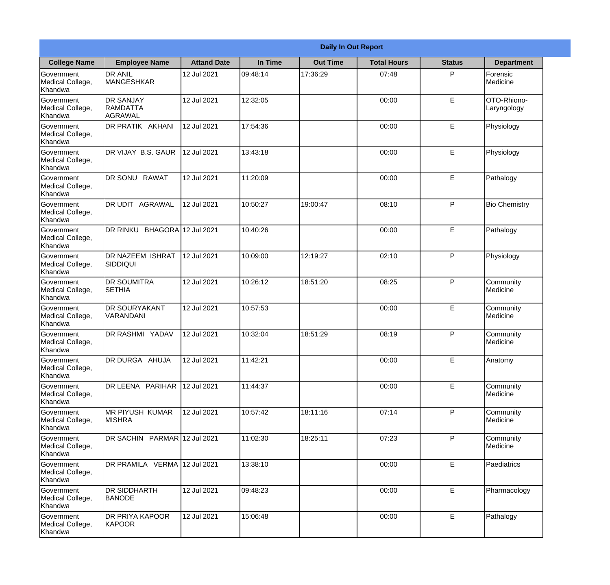| <b>Daily In Out Report</b>                       |                                                |                    |          |                 |                    |               |                            |
|--------------------------------------------------|------------------------------------------------|--------------------|----------|-----------------|--------------------|---------------|----------------------------|
| <b>College Name</b>                              | <b>Employee Name</b>                           | <b>Attand Date</b> | In Time  | <b>Out Time</b> | <b>Total Hours</b> | <b>Status</b> | <b>Department</b>          |
| Government<br>Medical College,<br>Khandwa        | <b>DR ANIL</b><br><b>MANGESHKAR</b>            | 12 Jul 2021        | 09:48:14 | 17:36:29        | 07:48              | P             | Forensic<br>Medicine       |
| Government<br>Medical College,<br>Khandwa        | <b>DR SANJAY</b><br><b>RAMDATTA</b><br>AGRAWAL | 12 Jul 2021        | 12:32:05 |                 | 00:00              | E             | OTO-Rhiono-<br>Laryngology |
| <b>Government</b><br>Medical College,<br>Khandwa | DR PRATIK AKHANI                               | 12 Jul 2021        | 17:54:36 |                 | 00:00              | E             | Physiology                 |
| Government<br>Medical College,<br>Khandwa        | DR VIJAY B.S. GAUR                             | 12 Jul 2021        | 13:43:18 |                 | 00:00              | $\mathsf E$   | Physiology                 |
| Government<br>Medical College,<br>Khandwa        | DR SONU RAWAT                                  | 12 Jul 2021        | 11:20:09 |                 | 00:00              | E             | Pathalogy                  |
| Government<br>Medical College,<br>Khandwa        | DR UDIT AGRAWAL                                | 12 Jul 2021        | 10:50:27 | 19:00:47        | 08:10              | P             | <b>Bio Chemistry</b>       |
| Government<br>Medical College,<br>Khandwa        | DR RINKU BHAGORA 12 Jul 2021                   |                    | 10:40:26 |                 | 00:00              | E             | Pathalogy                  |
| Government<br>Medical College,<br>Khandwa        | DR NAZEEM ISHRAT<br> SIDDIQUI                  | 12 Jul 2021        | 10:09:00 | 12:19:27        | 02:10              | P             | Physiology                 |
| Government<br>Medical College,<br>Khandwa        | <b>DR SOUMITRA</b><br><b>SETHIA</b>            | 12 Jul 2021        | 10:26:12 | 18:51:20        | 08:25              | P             | Community<br>Medicine      |
| Government<br>Medical College,<br>Khandwa        | <b>DR SOURYAKANT</b><br>VARANDANI              | 12 Jul 2021        | 10:57:53 |                 | 00:00              | E             | Community<br>Medicine      |
| Government<br>Medical College,<br>Khandwa        | <b>DR RASHMI YADAV</b>                         | 12 Jul 2021        | 10:32:04 | 18:51:29        | 08:19              | P             | Community<br>Medicine      |
| Government<br>Medical College,<br>Khandwa        | DR DURGA AHUJA                                 | 12 Jul 2021        | 11:42:21 |                 | 00:00              | $\mathsf E$   | Anatomy                    |
| Government<br>Medical College,<br>Khandwa        | DR LEENA PARIHAR                               | 12 Jul 2021        | 11:44:37 |                 | 00:00              | E             | Community<br>Medicine      |
| Government<br>Medical College,<br>Khandwa        | IMR PIYUSH KUMAR<br><b>MISHRA</b>              | 12 Jul 2021        | 10:57:42 | 18:11:16        | 07:14              | P             | Community<br>Medicine      |
| <b>Government</b><br>Medical College,<br>Khandwa | DR SACHIN PARMAR 12 Jul 2021                   |                    | 11:02:30 | 18:25:11        | 07:23              | P             | Community<br>Medicine      |
| Government<br>Medical College,<br>Khandwa        | DR PRAMILA VERMA 12 Jul 2021                   |                    | 13:38:10 |                 | 00:00              | $\mathsf E$   | Paediatrics                |
| Government<br>Medical College,<br>Khandwa        | <b>DR SIDDHARTH</b><br><b>BANODE</b>           | 12 Jul 2021        | 09:48:23 |                 | 00:00              | E             | Pharmacology               |
| Government<br>Medical College,<br>Khandwa        | <b>DR PRIYA KAPOOR</b><br>KAPOOR               | 12 Jul 2021        | 15:06:48 |                 | 00:00              | $\mathsf E$   | Pathalogy                  |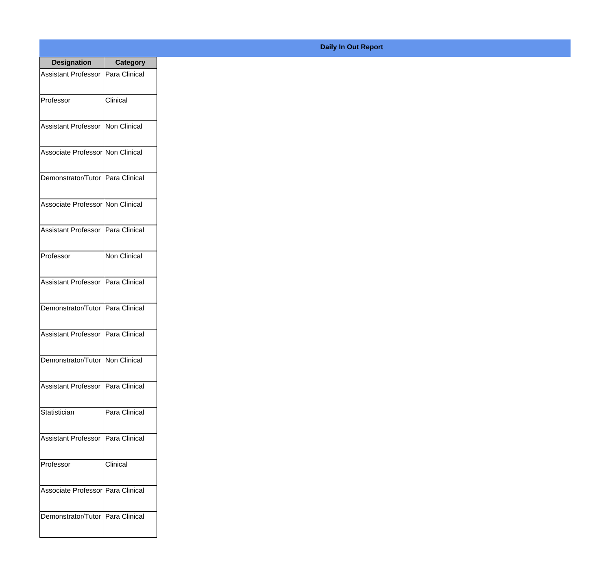| <b>Designation</b>                  | <b>Category</b>     |
|-------------------------------------|---------------------|
| Assistant Professor   Para Clinical |                     |
| Professor                           | Clinical            |
| Assistant Professor   Non Clinical  |                     |
| Associate Professor Non Clinical    |                     |
| Demonstrator/Tutor   Para Clinical  |                     |
| Associate Professor Non Clinical    |                     |
| Assistant Professor   Para Clinical |                     |
| Professor                           | <b>Non Clinical</b> |
| Assistant Professor   Para Clinical |                     |
| Demonstrator/Tutor   Para Clinical  |                     |
| <b>Assistant Professor</b>          | Para Clinical       |
| Demonstrator/Tutor   Non Clinical   |                     |
| Assistant Professor   Para Clinical |                     |
| Statistician                        | Para Clinical       |
| Assistant Professor                 | Para Clinical       |
| Professor                           | Clinical            |
| Associate Professor   Para Clinical |                     |
| Demonstrator/Tutor   Para Clinical  |                     |

## **Daily In Out Report**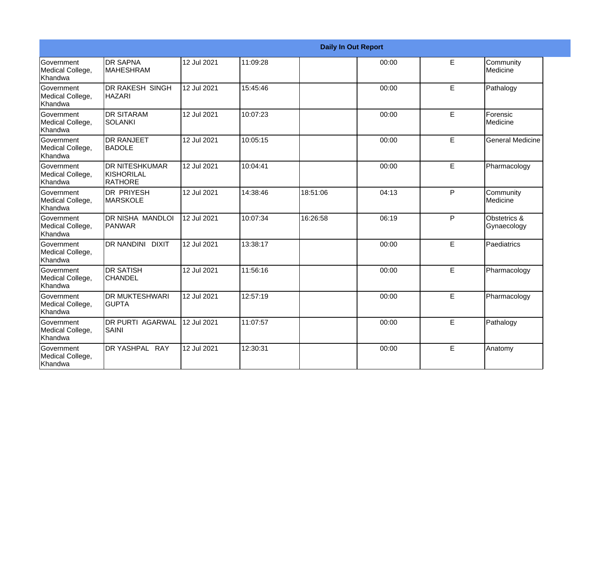|                                                         |                                                |             |          |          | <b>Daily In Out Report</b> |    |                             |
|---------------------------------------------------------|------------------------------------------------|-------------|----------|----------|----------------------------|----|-----------------------------|
| Government<br>Medical College,<br>Khandwa               | <b>DR SAPNA</b><br>IMAHESHRAM                  | 12 Jul 2021 | 11:09:28 |          | 00:00                      | E  | Community<br>Medicine       |
| <b>Government</b><br>Medical College,<br>Khandwa        | <b>DR RAKESH SINGH</b><br><b>HAZARI</b>        | 12 Jul 2021 | 15:45:46 |          | 00:00                      | E  | Pathalogy                   |
| <b>Government</b><br>Medical College,<br>Khandwa        | <b>DR SITARAM</b><br>SOLANKI                   | 12 Jul 2021 | 10:07:23 |          | 00:00                      | E  | Forensic<br>Medicine        |
| <b>Government</b><br>Medical College,<br>Khandwa        | <b>DR RANJEET</b><br>BADOLE                    | 12 Jul 2021 | 10:05:15 |          | 00:00                      | E  | <b>General Medicine</b>     |
| <b>Government</b><br>Medical College,<br><b>Khandwa</b> | <b>DR NITESHKUMAR</b><br>KISHORILAL<br>RATHORE | 12 Jul 2021 | 10:04:41 |          | 00:00                      | E  | Pharmacology                |
| Government<br>Medical College,<br>Khandwa               | DR PRIYESH<br><b>MARSKOLE</b>                  | 12 Jul 2021 | 14:38:46 | 18:51:06 | 04:13                      | P  | Community<br>Medicine       |
| <b>Government</b><br>Medical College,<br>Khandwa        | DR NISHA MANDLOI<br>PANWAR                     | 12 Jul 2021 | 10:07:34 | 16:26:58 | 06:19                      | P  | Obstetrics &<br>Gynaecology |
| <b>Government</b><br>Medical College,<br>Khandwa        | <b>DR NANDINI DIXIT</b>                        | 12 Jul 2021 | 13:38:17 |          | 00:00                      | E. | Paediatrics                 |
| Government<br>Medical College,<br>Khandwa               | <b>DR SATISH</b><br><b>CHANDEL</b>             | 12 Jul 2021 | 11:56:16 |          | 00:00                      | E  | Pharmacology                |
| <b>Government</b><br>Medical College,<br>Khandwa        | <b>DR MUKTESHWARI</b><br><b>GUPTA</b>          | 12 Jul 2021 | 12:57:19 |          | 00:00                      | E  | Pharmacology                |
| Government<br>Medical College,<br>Khandwa               | <b>DR PURTI AGARWAL</b><br><b>SAINI</b>        | 12 Jul 2021 | 11:07:57 |          | 00:00                      | E  | Pathalogy                   |
| <b>Government</b><br>Medical College,<br>Khandwa        | DR YASHPAL RAY                                 | 12 Jul 2021 | 12:30:31 |          | 00:00                      | E  | Anatomy                     |